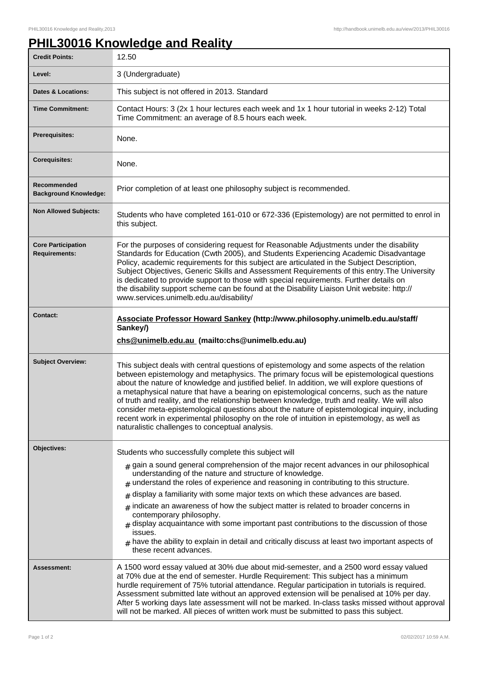## **PHIL30016 Knowledge and Reality**

| <b>Credit Points:</b>                             | 12.50                                                                                                                                                                                                                                                                                                                                                                                                                                                                                                                                                                                                                                                                                                                                                               |
|---------------------------------------------------|---------------------------------------------------------------------------------------------------------------------------------------------------------------------------------------------------------------------------------------------------------------------------------------------------------------------------------------------------------------------------------------------------------------------------------------------------------------------------------------------------------------------------------------------------------------------------------------------------------------------------------------------------------------------------------------------------------------------------------------------------------------------|
| Level:                                            | 3 (Undergraduate)                                                                                                                                                                                                                                                                                                                                                                                                                                                                                                                                                                                                                                                                                                                                                   |
| <b>Dates &amp; Locations:</b>                     | This subject is not offered in 2013. Standard                                                                                                                                                                                                                                                                                                                                                                                                                                                                                                                                                                                                                                                                                                                       |
| <b>Time Commitment:</b>                           | Contact Hours: 3 (2x 1 hour lectures each week and 1x 1 hour tutorial in weeks 2-12) Total<br>Time Commitment: an average of 8.5 hours each week.                                                                                                                                                                                                                                                                                                                                                                                                                                                                                                                                                                                                                   |
| Prerequisites:                                    | None.                                                                                                                                                                                                                                                                                                                                                                                                                                                                                                                                                                                                                                                                                                                                                               |
| <b>Corequisites:</b>                              | None.                                                                                                                                                                                                                                                                                                                                                                                                                                                                                                                                                                                                                                                                                                                                                               |
| Recommended<br><b>Background Knowledge:</b>       | Prior completion of at least one philosophy subject is recommended.                                                                                                                                                                                                                                                                                                                                                                                                                                                                                                                                                                                                                                                                                                 |
| <b>Non Allowed Subjects:</b>                      | Students who have completed 161-010 or 672-336 (Epistemology) are not permitted to enrol in<br>this subject.                                                                                                                                                                                                                                                                                                                                                                                                                                                                                                                                                                                                                                                        |
| <b>Core Participation</b><br><b>Requirements:</b> | For the purposes of considering request for Reasonable Adjustments under the disability<br>Standards for Education (Cwth 2005), and Students Experiencing Academic Disadvantage<br>Policy, academic requirements for this subject are articulated in the Subject Description,<br>Subject Objectives, Generic Skills and Assessment Requirements of this entry. The University<br>is dedicated to provide support to those with special requirements. Further details on<br>the disability support scheme can be found at the Disability Liaison Unit website: http://<br>www.services.unimelb.edu.au/disability/                                                                                                                                                    |
| <b>Contact:</b>                                   | Associate Professor Howard Sankey (http://www.philosophy.unimelb.edu.au/staff/<br>Sankey/)<br>chs@unimelb.edu.au (mailto:chs@unimelb.edu.au)                                                                                                                                                                                                                                                                                                                                                                                                                                                                                                                                                                                                                        |
| <b>Subject Overview:</b>                          | This subject deals with central questions of epistemology and some aspects of the relation<br>between epistemology and metaphysics. The primary focus will be epistemological questions<br>about the nature of knowledge and justified belief. In addition, we will explore questions of<br>a metaphysical nature that have a bearing on epistemological concerns, such as the nature<br>of truth and reality, and the relationship between knowledge, truth and reality. We will also<br>consider meta-epistemological questions about the nature of epistemological inquiry, including<br>recent work in experimental philosophy on the role of intuition in epistemology, as well as<br>naturalistic challenges to conceptual analysis.                          |
| Objectives:                                       | Students who successfully complete this subject will<br>$_{\#}$ gain a sound general comprehension of the major recent advances in our philosophical<br>understanding of the nature and structure of knowledge.<br>$#$ understand the roles of experience and reasoning in contributing to this structure.<br>display a familiarity with some major texts on which these advances are based.<br>#<br>$*$ indicate an awareness of how the subject matter is related to broader concerns in<br>contemporary philosophy.<br>$#$ display acquaintance with some important past contributions to the discussion of those<br>issues.<br>$_{\#}$ have the ability to explain in detail and critically discuss at least two important aspects of<br>these recent advances. |
| Assessment:                                       | A 1500 word essay valued at 30% due about mid-semester, and a 2500 word essay valued<br>at 70% due at the end of semester. Hurdle Requirement: This subject has a minimum<br>hurdle requirement of 75% tutorial attendance. Regular participation in tutorials is required.                                                                                                                                                                                                                                                                                                                                                                                                                                                                                         |